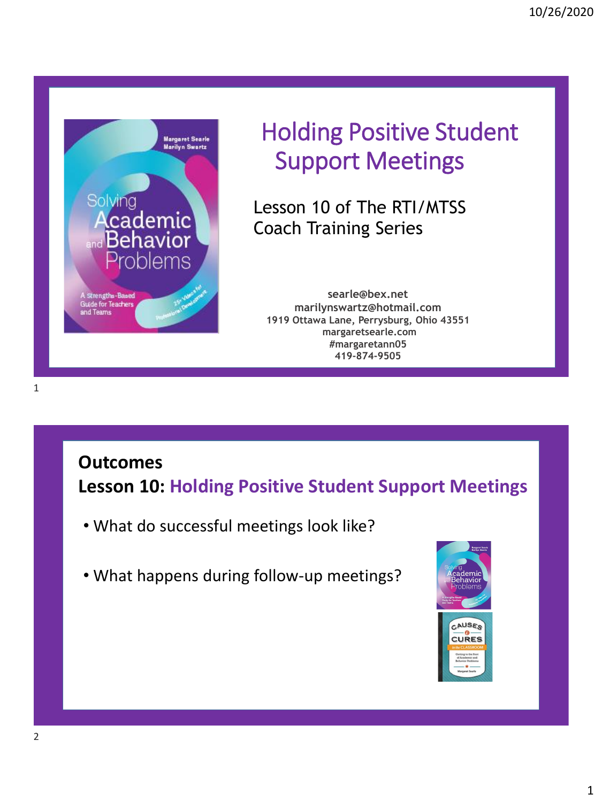

# Holding Positive Student Support Meetings

Lesson 10 of The RTI/MTSS Coach Training Series

**searle@bex.net marilynswartz@hotmail.com 1919 Ottawa Lane, Perrysburg, Ohio 43551 margaretsearle.com #margaretann05 419-874-9505**

### **Outcomes Lesson 10: Holding Positive Student Support Meetings**

- What do successful meetings look like?
- What happens during follow-up meetings?

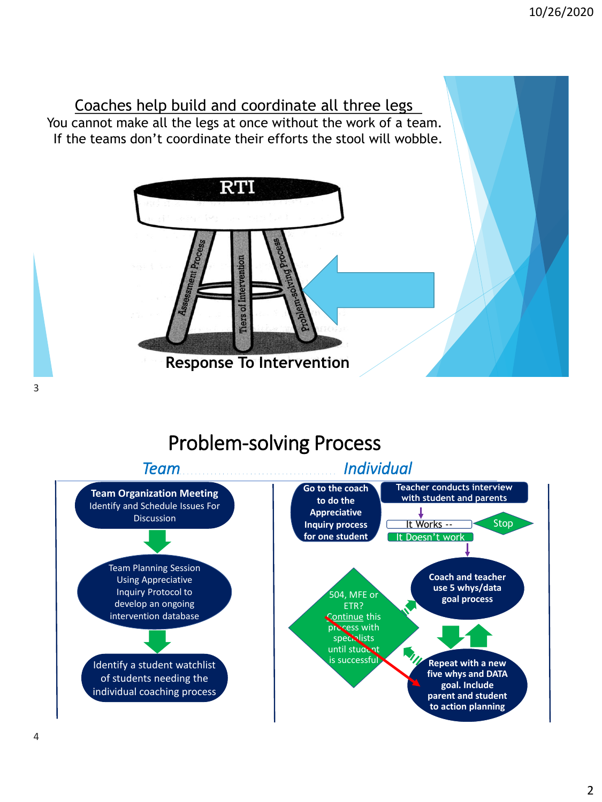

## Problem-solving Process



3

#### 4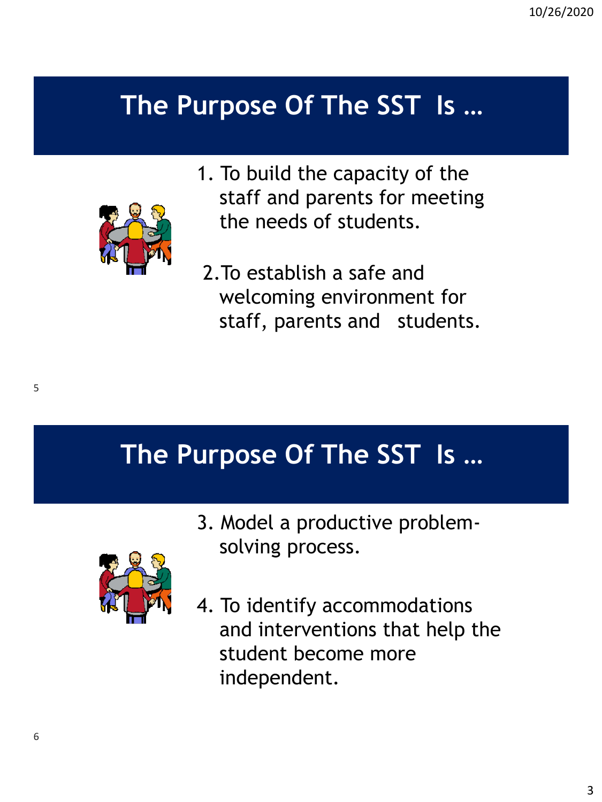# **The Purpose Of The SST Is …**



- 1. To build the capacity of the staff and parents for meeting the needs of students.
- 2.To establish a safe and welcoming environment for staff, parents and students.

**The Purpose Of The SST Is …**

3. Model a productive problemsolving process.



4. To identify accommodations and interventions that help the student become more independent.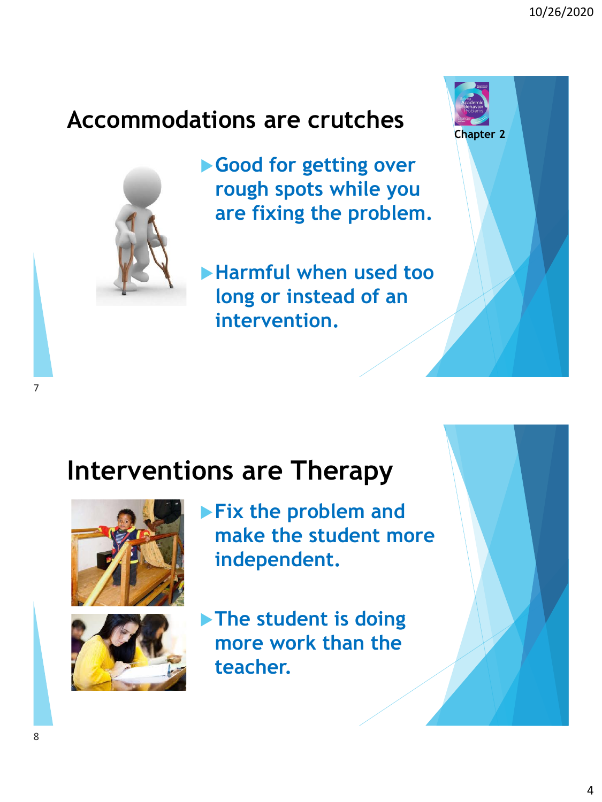**Chapter 2**

## **Accommodations are crutches**



**Good for getting over rough spots while you are fixing the problem.**

**Harmful when used too long or instead of an intervention.**

## **Interventions are Therapy**



- **Fix the problem and make the student more independent.**
- - **The student is doing more work than the teacher.**

7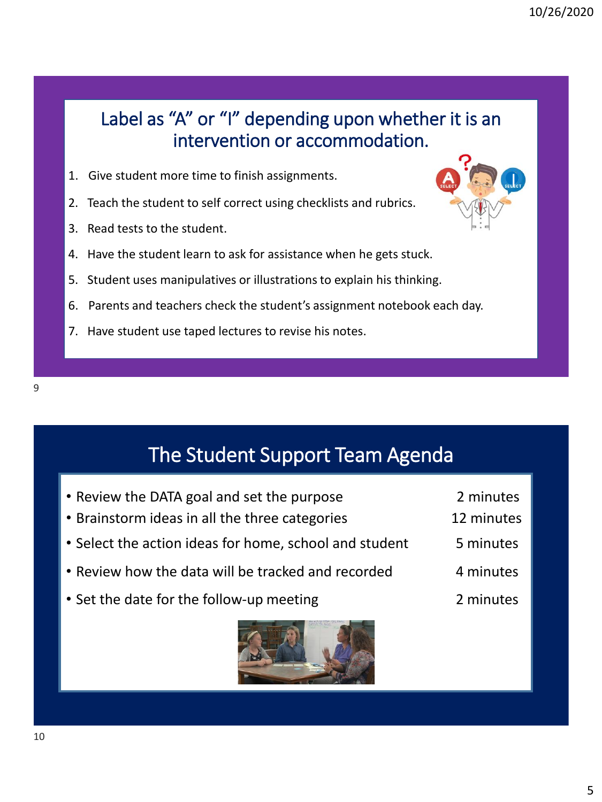**C** 

I

### Label as "A" or "I" depending upon whether it is an intervention or accommodation.

- 1. Give student more time to finish assignments.
- 2. Teach the student to self correct using checklists and rubrics.
- 3. Read tests to the student.
- 4. Have the student learn to ask for assistance when he gets stuck.
- 5. Student uses manipulatives or illustrations to explain his thinking.
- 6. Parents and teachers check the student's assignment notebook each day.
- 7. Have student use taped lectures to revise his notes.

## The Student Support Team Agenda

• Review the DATA goal and set the purpose 2 minutes • Brainstorm ideas in all the three categories 12 minutes • Select the action ideas for home, school and student 5 minutes • Review how the data will be tracked and recorded 4 minutes • Set the date for the follow-up meeting entitled and the control of the date for the follow-up meeting



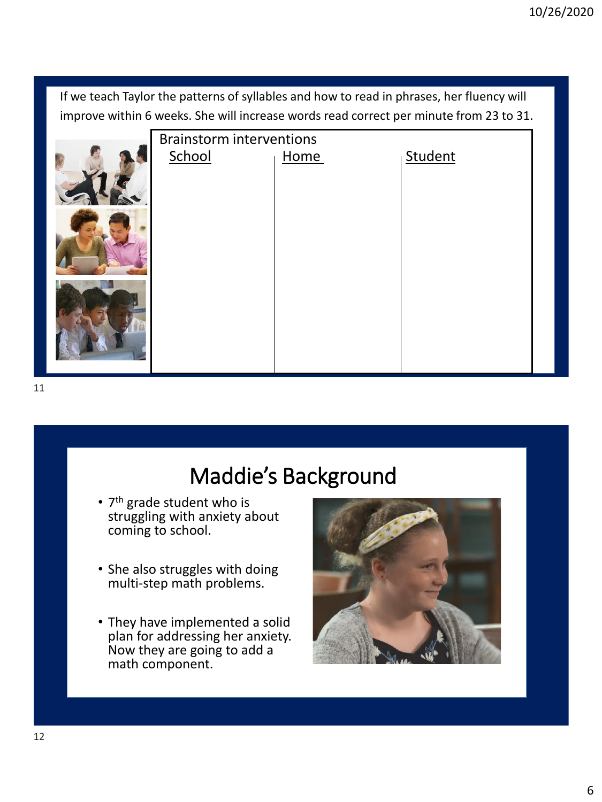If we teach Taylor the patterns of syllables and how to read in phrases, her fluency will improve within 6 weeks. She will increase words read correct per minute from 23 to 31.



## Maddie's Background

- 7<sup>th</sup> grade student who is struggling with anxiety about coming to school.
- She also struggles with doing multi-step math problems.
- They have implemented a solid plan for addressing her anxiety. Now they are going to add a math component.

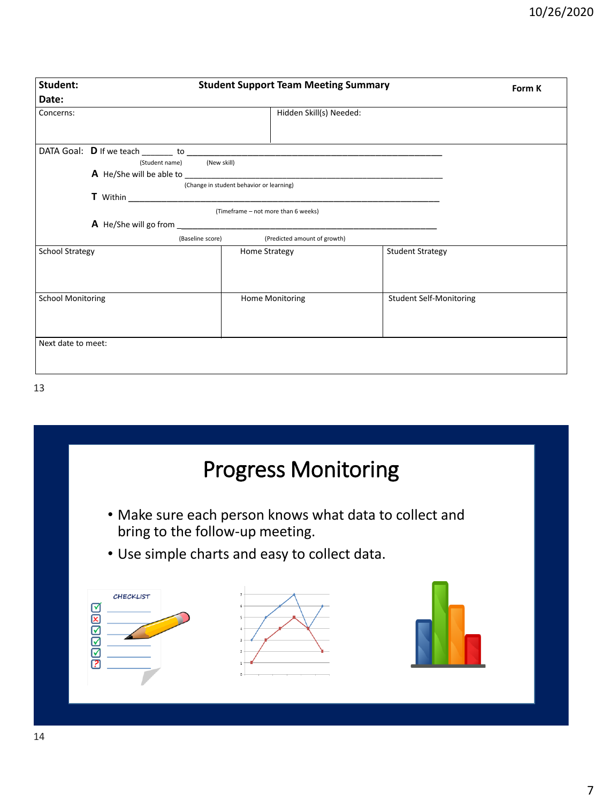| Student:                 | <b>Student Support Team Meeting Summary</b>                                                                                                                                                                                               |                                               |                                | Form K |
|--------------------------|-------------------------------------------------------------------------------------------------------------------------------------------------------------------------------------------------------------------------------------------|-----------------------------------------------|--------------------------------|--------|
| Date:                    |                                                                                                                                                                                                                                           |                                               |                                |        |
| Concerns:                |                                                                                                                                                                                                                                           | Hidden Skill(s) Needed:                       |                                |        |
|                          | (Student name) (New skill)                                                                                                                                                                                                                |                                               |                                |        |
|                          | <b>A</b> He/She will be able to <b>the contract of the contract of the contract of the contract of the contract of the contract of the contract of the contract of the contract of the contract of the contract of the contract of th</b> |                                               |                                |        |
|                          |                                                                                                                                                                                                                                           | (Change in student behavior or learning)      |                                |        |
|                          |                                                                                                                                                                                                                                           | (Timeframe - not more than 6 weeks)           |                                |        |
|                          |                                                                                                                                                                                                                                           | (Baseline score) (Predicted amount of growth) |                                |        |
| <b>School Strategy</b>   |                                                                                                                                                                                                                                           | Home Strategy                                 | <b>Student Strategy</b>        |        |
| <b>School Monitoring</b> |                                                                                                                                                                                                                                           | Home Monitoring                               | <b>Student Self-Monitoring</b> |        |
| Next date to meet:       |                                                                                                                                                                                                                                           |                                               |                                |        |

13